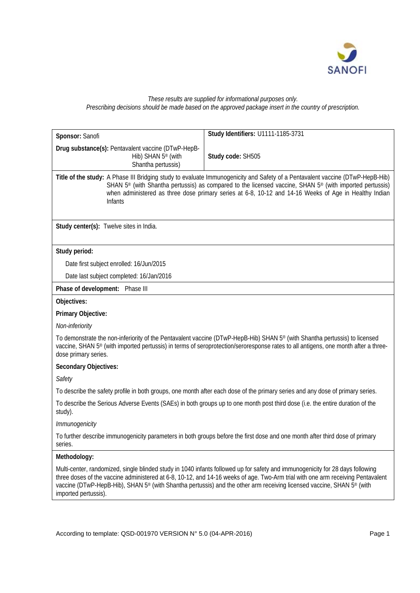

### *These results are supplied for informational purposes only. Prescribing decisions should be made based on the approved package insert in the country of prescription.*

| Sponsor: Sanofi                                                                                                                                                                                                                                                                                                                                                                      | Study Identifiers: U1111-1185-3731                                                                                                                                                                                                                                                                                                                                                                                 |  |  |  |  |  |
|--------------------------------------------------------------------------------------------------------------------------------------------------------------------------------------------------------------------------------------------------------------------------------------------------------------------------------------------------------------------------------------|--------------------------------------------------------------------------------------------------------------------------------------------------------------------------------------------------------------------------------------------------------------------------------------------------------------------------------------------------------------------------------------------------------------------|--|--|--|--|--|
| Drug substance(s): Pentavalent vaccine (DTwP-HepB-                                                                                                                                                                                                                                                                                                                                   |                                                                                                                                                                                                                                                                                                                                                                                                                    |  |  |  |  |  |
| Hib) SHAN 5 <sup>®</sup> (with                                                                                                                                                                                                                                                                                                                                                       | Study code: SH505                                                                                                                                                                                                                                                                                                                                                                                                  |  |  |  |  |  |
| Shantha pertussis)                                                                                                                                                                                                                                                                                                                                                                   |                                                                                                                                                                                                                                                                                                                                                                                                                    |  |  |  |  |  |
| Title of the study: A Phase III Bridging study to evaluate Immunogenicity and Safety of a Pentavalent vaccine (DTwP-HepB-Hib)<br>SHAN 5 <sup>®</sup> (with Shantha pertussis) as compared to the licensed vaccine, SHAN 5 <sup>®</sup> (with imported pertussis)<br>when administered as three dose primary series at 6-8, 10-12 and 14-16 Weeks of Age in Healthy Indian<br>Infants |                                                                                                                                                                                                                                                                                                                                                                                                                    |  |  |  |  |  |
| Study center(s): Twelve sites in India.                                                                                                                                                                                                                                                                                                                                              |                                                                                                                                                                                                                                                                                                                                                                                                                    |  |  |  |  |  |
| Study period:                                                                                                                                                                                                                                                                                                                                                                        |                                                                                                                                                                                                                                                                                                                                                                                                                    |  |  |  |  |  |
| Date first subject enrolled: 16/Jun/2015                                                                                                                                                                                                                                                                                                                                             |                                                                                                                                                                                                                                                                                                                                                                                                                    |  |  |  |  |  |
| Date last subject completed: 16/Jan/2016                                                                                                                                                                                                                                                                                                                                             |                                                                                                                                                                                                                                                                                                                                                                                                                    |  |  |  |  |  |
| Phase of development: Phase III                                                                                                                                                                                                                                                                                                                                                      |                                                                                                                                                                                                                                                                                                                                                                                                                    |  |  |  |  |  |
| Objectives:                                                                                                                                                                                                                                                                                                                                                                          |                                                                                                                                                                                                                                                                                                                                                                                                                    |  |  |  |  |  |
| Primary Objective:                                                                                                                                                                                                                                                                                                                                                                   |                                                                                                                                                                                                                                                                                                                                                                                                                    |  |  |  |  |  |
| Non-inferiority                                                                                                                                                                                                                                                                                                                                                                      |                                                                                                                                                                                                                                                                                                                                                                                                                    |  |  |  |  |  |
| To demonstrate the non-inferiority of the Pentavalent vaccine (DTwP-HepB-Hib) SHAN 5 <sup>®</sup> (with Shantha pertussis) to licensed<br>vaccine, SHAN 5 <sup>®</sup> (with imported pertussis) in terms of seroprotection/seroresponse rates to all antigens, one month after a three-<br>dose primary series.                                                                     |                                                                                                                                                                                                                                                                                                                                                                                                                    |  |  |  |  |  |
| Secondary Objectives:                                                                                                                                                                                                                                                                                                                                                                |                                                                                                                                                                                                                                                                                                                                                                                                                    |  |  |  |  |  |
| Safety                                                                                                                                                                                                                                                                                                                                                                               |                                                                                                                                                                                                                                                                                                                                                                                                                    |  |  |  |  |  |
| To describe the safety profile in both groups, one month after each dose of the primary series and any dose of primary series.                                                                                                                                                                                                                                                       |                                                                                                                                                                                                                                                                                                                                                                                                                    |  |  |  |  |  |
| To describe the Serious Adverse Events (SAEs) in both groups up to one month post third dose (i.e. the entire duration of the<br>study).                                                                                                                                                                                                                                             |                                                                                                                                                                                                                                                                                                                                                                                                                    |  |  |  |  |  |
| Immunogenicity                                                                                                                                                                                                                                                                                                                                                                       |                                                                                                                                                                                                                                                                                                                                                                                                                    |  |  |  |  |  |
| series.                                                                                                                                                                                                                                                                                                                                                                              | To further describe immunogenicity parameters in both groups before the first dose and one month after third dose of primary                                                                                                                                                                                                                                                                                       |  |  |  |  |  |
| Methodology:                                                                                                                                                                                                                                                                                                                                                                         |                                                                                                                                                                                                                                                                                                                                                                                                                    |  |  |  |  |  |
| imported pertussis).                                                                                                                                                                                                                                                                                                                                                                 | Multi-center, randomized, single blinded study in 1040 infants followed up for safety and immunogenicity for 28 days following<br>three doses of the vaccine administered at 6-8, 10-12, and 14-16 weeks of age. Two-Arm trial with one arm receiving Pentavalent<br>vaccine (DTwP-HepB-Hib), SHAN 5 <sup>®</sup> (with Shantha pertussis) and the other arm receiving licensed vaccine, SHAN 5 <sup>®</sup> (with |  |  |  |  |  |
|                                                                                                                                                                                                                                                                                                                                                                                      |                                                                                                                                                                                                                                                                                                                                                                                                                    |  |  |  |  |  |
|                                                                                                                                                                                                                                                                                                                                                                                      |                                                                                                                                                                                                                                                                                                                                                                                                                    |  |  |  |  |  |
| According to template: QSD-001970 VERSION N° 5.0 (04-APR-2016)                                                                                                                                                                                                                                                                                                                       | Page 1                                                                                                                                                                                                                                                                                                                                                                                                             |  |  |  |  |  |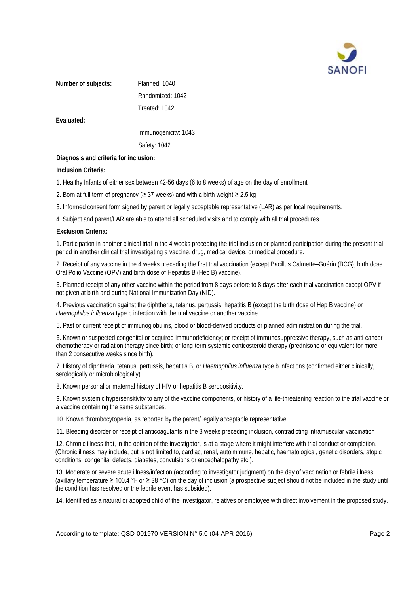

| Number of subjects:                                                                                | Planned: 1040        |  |  |  |  |  |
|----------------------------------------------------------------------------------------------------|----------------------|--|--|--|--|--|
|                                                                                                    | Randomized: 1042     |  |  |  |  |  |
|                                                                                                    | Treated: 1042        |  |  |  |  |  |
| Evaluated:                                                                                         |                      |  |  |  |  |  |
|                                                                                                    | Immunogenicity: 1043 |  |  |  |  |  |
|                                                                                                    | Safety: 1042         |  |  |  |  |  |
| Diagnosis and criteria for inclusion:                                                              |                      |  |  |  |  |  |
| Inclusion Criteria:                                                                                |                      |  |  |  |  |  |
| 1. Healthy Infants of either sex between 42-56 days (6 to 8 weeks) of age on the day of enrollment |                      |  |  |  |  |  |

2. Born at full term of pregnancy (≥ 37 weeks) and with a birth weight ≥ 2.5 kg.

3. Informed consent form signed by parent or legally acceptable representative (LAR) as per local requirements.

4. Subject and parent/LAR are able to attend all scheduled visits and to comply with all trial procedures

#### **Exclusion Criteria:**

1. Participation in another clinical trial in the 4 weeks preceding the trial inclusion or planned participation during the present trial period in another clinical trial investigating a vaccine, drug, medical device, or medical procedure.

2. Receipt of any vaccine in the 4 weeks preceding the first trial vaccination (except Bacillus Calmette–Guérin (BCG), birth dose Oral Polio Vaccine (OPV) and birth dose of Hepatitis B (Hep B) vaccine).

3. Planned receipt of any other vaccine within the period from 8 days before to 8 days after each trial vaccination except OPV if not given at birth and during National Immunization Day (NID).

4. Previous vaccination against the diphtheria, tetanus, pertussis, hepatitis B (except the birth dose of Hep B vaccine) or *Haemophilus influenza* type b infection with the trial vaccine or another vaccine.

5. Past or current receipt of immunoglobulins, blood or blood-derived products or planned administration during the trial.

6. Known or suspected congenital or acquired immunodeficiency; or receipt of immunosuppressive therapy, such as anti-cancer chemotherapy or radiation therapy since birth; or long-term systemic corticosteroid therapy (prednisone or equivalent for more than 2 consecutive weeks since birth).

7. History of diphtheria, tetanus, pertussis, hepatitis B, or *Haemophilus influenza* type b infections (confirmed either clinically, serologically or microbiologically).

8. Known personal or maternal history of HIV or hepatitis B seropositivity.

9. Known systemic hypersensitivity to any of the vaccine components, or history of a life-threatening reaction to the trial vaccine or a vaccine containing the same substances.

10. Known thrombocytopenia, as reported by the parent/ legally acceptable representative.

11. Bleeding disorder or receipt of anticoagulants in the 3 weeks preceding inclusion, contradicting intramuscular vaccination

12. Chronic illness that, in the opinion of the investigator, is at a stage where it might interfere with trial conduct or completion. (Chronic illness may include, but is not limited to, cardiac, renal, autoimmune, hepatic, haematological, genetic disorders, atopic conditions, congenital defects, diabetes, convulsions or encephalopathy etc.).

13. Moderate or severe acute illness/infection (according to investigator judgment) on the day of vaccination or febrile illness (axillary temperature ≥ 100.4 °F or ≥ 38 °C) on the day of inclusion (a prospective subject should not be included in the study until the condition has resolved or the febrile event has subsided).

14. Identified as a natural or adopted child of the Investigator, relatives or employee with direct involvement in the proposed study.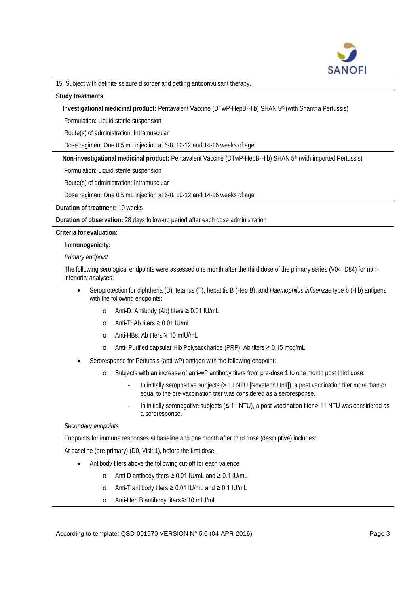

15. Subject with definite seizure disorder and getting anticonvulsant therapy.

#### **Study treatments**

**Investigational medicinal product:** Pentavalent Vaccine (DTwP-HepB-Hib) SHAN 5® (with Shantha Pertussis)

Formulation: Liquid sterile suspension

Route(s) of administration: Intramuscular

Dose regimen: One 0.5 mL injection at 6-8, 10-12 and 14-16 weeks of age

**Non-investigational medicinal product:** Pentavalent Vaccine (DTwP-HepB-Hib) SHAN 5® (with imported Pertussis)

Formulation: Liquid sterile suspension

Route(s) of administration: Intramuscular

Dose regimen: One 0.5 mL injection at 6-8, 10-12 and 14-16 weeks of age

**Duration of treatment:** 10 weeks

**Duration of observation:** 28 days follow-up period after each dose administration

**Criteria for evaluation:**

**Immunogenicity:** 

*Primary endpoint*

The following serological endpoints were assessed one month after the third dose of the primary series (V04, D84) for noninferiority analyses:

- Seroprotection for diphtheria (D), tetanus (T), hepatitis B (Hep B), and *Haemophilus influenzae* type b (Hib) antigens with the following endpoints:
	- o Anti-D: Antibody (Ab) titers ≥ 0.01 IU/mL
	- o Anti-T: Ab titers ≥ 0.01 IU/mL
	- o Anti-HBs: Ab titers ≥ 10 mIU/mL
	- o Anti- Purified capsular Hib Polysaccharide (PRP): Ab titers ≥ 0.15 mcg/mL
- Seroresponse for Pertussis (anti-wP) antigen with the following endpoint:
	- o Subjects with an increase of anti-wP antibody titers from pre-dose 1 to one month post third dose:
		- In initially seropositive subjects (> 11 NTU [Novatech Unit]), a post vaccination titer more than or equal to the pre-vaccination titer was considered as a seroresponse.
		- In initially seronegative subjects (≤ 11 NTU), a post vaccination titer > 11 NTU was considered as a seroresponse.

### *Secondary endpoints*

Endpoints for immune responses at baseline and one month after third dose (descriptive) includes:

At baseline (pre-primary) (D0, Visit 1), before the first dose:

- Antibody titers above the following cut-off for each valence
	- o Anti-D antibody titers ≥ 0.01 IU/mL and ≥ 0.1 IU/mL
	- o Anti-T antibody titers ≥ 0.01 IU/mL and ≥ 0.1 IU/mL
	- o Anti-Hep B antibody titers ≥ 10 mIU/mL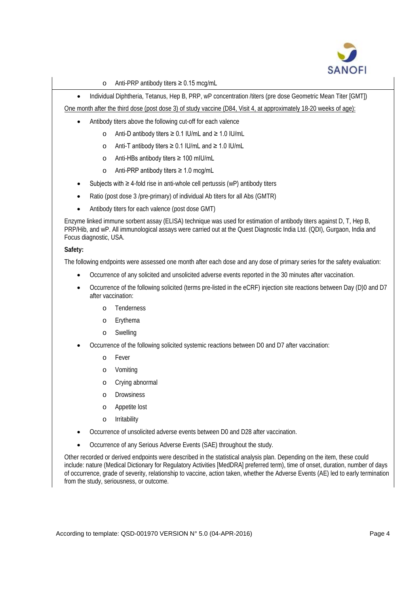

o Anti-PRP antibody titers ≥ 0.15 mcg/mL

• Individual Diphtheria, Tetanus, Hep B, PRP, wP concentration /titers (pre dose Geometric Mean Titer [GMT])

One month after the third dose (post dose 3) of study vaccine (D84, Visit 4, at approximately 18-20 weeks of age):

- Antibody titers above the following cut-off for each valence
	- o Anti-D antibody titers ≥ 0.1 IU/mL and ≥ 1.0 IU/mL
		- o Anti-T antibody titers ≥ 0.1 IU/mL and ≥ 1.0 IU/mL
		- o Anti-HBs antibody titers ≥ 100 mIU/mL
		- o Anti-PRP antibody titers ≥ 1.0 mcg/mL
	- Subjects with ≥ 4-fold rise in anti-whole cell pertussis (wP) antibody titers
- Ratio (post dose 3 /pre-primary) of individual Ab titers for all Abs (GMTR)
- Antibody titers for each valence (post dose GMT)

Enzyme linked immune sorbent assay (ELISA) technique was used for estimation of antibody titers against D, T, Hep B, PRP/Hib, and wP. All immunological assays were carried out at the Quest Diagnostic India Ltd. (QDI), Gurgaon, India and Focus diagnostic, USA.

### **Safety:**

The following endpoints were assessed one month after each dose and any dose of primary series for the safety evaluation:

- Occurrence of any solicited and unsolicited adverse events reported in the 30 minutes after vaccination.
- Occurrence of the following solicited (terms pre-listed in the eCRF) injection site reactions between Day (D)0 and D7 after vaccination:
	- o Tenderness
	- o Erythema
	- o Swelling
- Occurrence of the following solicited systemic reactions between D0 and D7 after vaccination:
	- o Fever
	- o Vomiting
	- o Crying abnormal
	- o Drowsiness
	- o Appetite lost
	- o Irritability
- Occurrence of unsolicited adverse events between D0 and D28 after vaccination.
- Occurrence of any Serious Adverse Events (SAE) throughout the study.

Other recorded or derived endpoints were described in the statistical analysis plan. Depending on the item, these could include: nature (Medical Dictionary for Regulatory Activities [MedDRA] preferred term), time of onset, duration, number of days of occurrence, grade of severity, relationship to vaccine, action taken, whether the Adverse Events (AE) led to early termination from the study, seriousness, or outcome.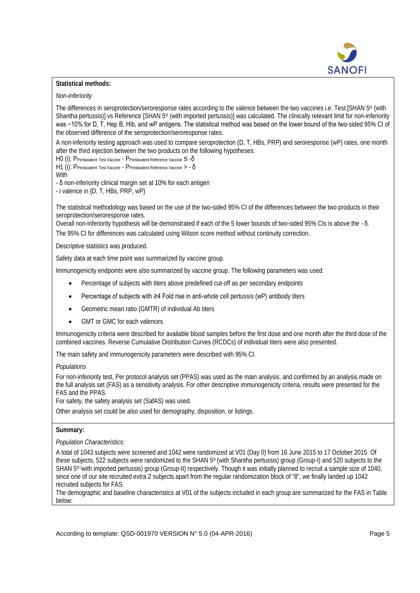

# **Statistical methods:**

### *Non-inferiority*

The differences in seroprotection/seroresponse rates according to the valence between the two vaccines i.e. Test [SHAN 5® (with Shantha pertussis)] vs Reference [SHAN 5® (with imported pertussis)] was calculated. The clinically relevant limit for non-inferiority was −10% for D, T, Hep B, Hib, and wP antigens. The statistical method was based on the lower bound of the two-sided 95% CI of the observed difference of the seroprotection/seroresponse rates.

A non-inferiority testing approach was used to compare seroprotection (D, T, HBs, PRP) and seroresponse (wP) rates, one month after the third injection between the two products on the following hypotheses:

H0 (i): PPentavalent Test Vaccine - PPentavalent Reference Vaccine ≤ -δ

H1 (i): PPentavalent Test Vaccine - PPentavalent Reference Vaccine > - δ

**With** 

- δ non-inferiority clinical margin set at 10% for each antigen

- i valence in {D, T, HBs, PRP, wP}

The statistical methodology was based on the use of the two-sided 95% CI of the differences between the two products in their seroprotection/seroresponse rates.

Overall non-inferiority hypothesis will be demonstrated if each of the 5 lower bounds of two-sided 95% CIs is above the - δ.

The 95% CI for differences was calculated using Wilson score method without continuity correction.

Descriptive statistics was produced.

Safety data at each time point was summarized by vaccine group.

Immunogenicity endpoints were also summarized by vaccine group. The following parameters was used:

- Percentage of subjects with titers above predefined cut-off as per secondary endpoints
- Percentage of subjects with ≥4 Fold rise in anti-whole cell pertussis (wP) antibody titers
- Geometric mean ratio (GMTR) of individual Ab titers
- GMT or GMC for each valences

Immunogenicity criteria were described for available blood samples before the first dose and one month after the third dose of the combined vaccines. Reverse Cumulative Distribution Curves (RCDCs) of individual titers were also presented.

The main safety and immunogenicity parameters were described with 95% CI.

### *Populations*

For non-inferiority test, Per protocol analysis set (PPAS) was used as the main analysis, and confirmed by an analysis made on the full analysis set (FAS) as a sensitivity analysis. For other descriptive immunogenicity criteria, results were presented for the FAS and the PPAS.

For safety, the safety analysis set (SafAS) was used.

Other analysis set could be also used for demography, disposition, or listings.

### **Summary:**

### *Population Characteristics*:

A total of 1043 subjects were screened and 1042 were randomized at V01 (Day 0) from 16 June 2015 to 17 October 2015. Of these subjects, 522 subjects were randomized to the SHAN 5® (with Shantha pertussis) group (Group-I) and 520 subjects to the SHAN 5® ( with imported pertussis) group (Group-II) respectively. Though it was initially planned to recruit a sample size of 1040, since one of our site recruited extra 2 subjects apart from the regular randomization block of "8", we finally landed up 1042 recruited subjects for FAS.

The demographic and baseline characteristics at V01 of the subjects included in each group are summarized for the FAS in Table below: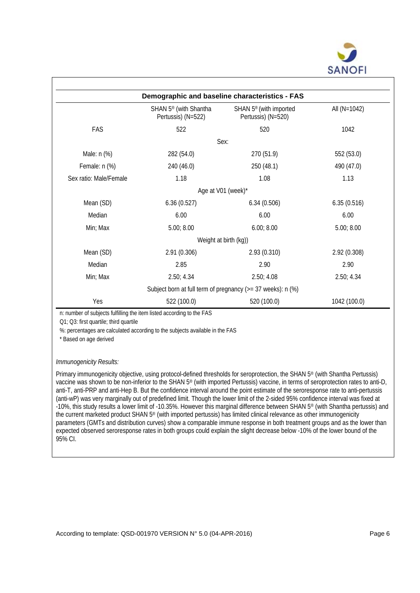

| Demographic and baseline characteristics - FAS |                                                         |                                                                |              |  |  |  |  |
|------------------------------------------------|---------------------------------------------------------|----------------------------------------------------------------|--------------|--|--|--|--|
|                                                | SHAN 5 <sup>®</sup> (with Shantha<br>Pertussis) (N=522) | SHAN 5 <sup>®</sup> (with imported<br>Pertussis) (N=520)       | All (N=1042) |  |  |  |  |
| FAS                                            | 522                                                     | 520                                                            | 1042         |  |  |  |  |
|                                                |                                                         | Sex:                                                           |              |  |  |  |  |
| Male: n (%)                                    | 282 (54.0)                                              | 270 (51.9)                                                     | 552 (53.0)   |  |  |  |  |
| Female: n (%)                                  | 240 (46.0)                                              | 250 (48.1)                                                     | 490 (47.0)   |  |  |  |  |
| Sex ratio: Male/Female                         | 1.18                                                    | 1.08                                                           | 1.13         |  |  |  |  |
|                                                |                                                         | Age at V01 (week)*                                             |              |  |  |  |  |
| Mean (SD)                                      | 6.36(0.527)                                             | 6.34(0.506)                                                    | 6.35(0.516)  |  |  |  |  |
| Median                                         | 6.00                                                    | 6.00                                                           | 6.00         |  |  |  |  |
| Min; Max                                       | 5.00; 8.00                                              | 6.00; 8.00                                                     | 5.00; 8.00   |  |  |  |  |
|                                                |                                                         | Weight at birth (kg))                                          |              |  |  |  |  |
| Mean (SD)                                      | 2.91(0.306)                                             | 2.93(0.310)                                                    | 2.92 (0.308) |  |  |  |  |
| Median                                         | 2.85                                                    | 2.90                                                           | 2.90         |  |  |  |  |
| Min; Max                                       | 2.50; 4.34                                              | 2.50; 4.08                                                     | 2.50; 4.34   |  |  |  |  |
|                                                |                                                         | Subject born at full term of pregnancy ( $>= 37$ weeks): n (%) |              |  |  |  |  |
| Yes                                            | 522 (100.0)                                             | 520 (100.0)                                                    | 1042 (100.0) |  |  |  |  |

n: number of subjects fulfilling the item listed according to the FAS

Q1; Q3: first quartile; third quartile

%: percentages are calculated according to the subjects available in the FAS

\* Based on age derived

## *Immunogenicity Results:*

Primary immunogenicity objective, using protocol-defined thresholds for seroprotection, the SHAN 5® (with Shantha Pertussis) vaccine was shown to be non-inferior to the SHAN 5® (with imported Pertussis) vaccine, in terms of seroprotection rates to anti-D, anti-T, anti-PRP and anti-Hep B. But the confidence interval around the point estimate of the seroresponse rate to anti-pertussis (anti-wP) was very marginally out of predefined limit. Though the lower limit of the 2-sided 95% confidence interval was fixed at -10%, this study results a lower limit of -10.35%. However this marginal difference between SHAN 5® (with Shantha pertussis) and the current marketed product SHAN 5® (with imported pertussis) has limited clinical relevance as other immunogenicity parameters (GMTs and distribution curves) show a comparable immune response in both treatment groups and as the lower than expected observed seroresponse rates in both groups could explain the slight decrease below -10% of the lower bound of the 95% CI.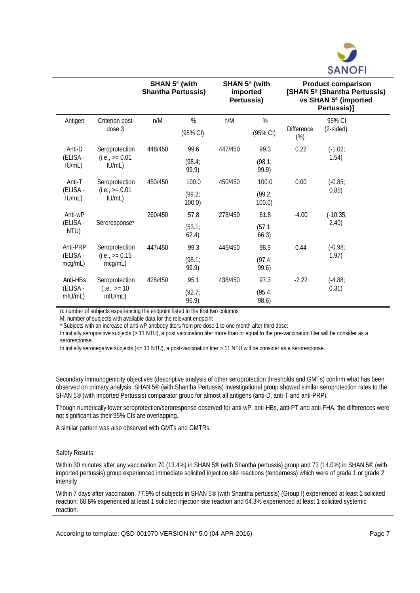

|                                 |                                               | SHAN $5^{\circ}$ (with<br><b>Shantha Pertussis)</b> |                              | SHAN $5^{\circ}$ (with<br>imported<br>Pertussis) |                              | <b>Product comparison</b><br>[SHAN 5 <sup>®</sup> (Shantha Pertussis)<br>vs SHAN 5 <sup>®</sup> (imported<br>Pertussis)] |                       |
|---------------------------------|-----------------------------------------------|-----------------------------------------------------|------------------------------|--------------------------------------------------|------------------------------|--------------------------------------------------------------------------------------------------------------------------|-----------------------|
| Antigen                         | Criterion post-<br>dose 3                     | n/M                                                 | $\%$<br>(95% CI)             | n/M                                              | %<br>(95% CI)                | <b>Difference</b><br>$(\%)$                                                                                              | 95% CI<br>$(2-sided)$ |
| Anti-D<br>(ELISA -<br>IU/mL)    | Seroprotection<br>$(i.e., = 0.01)$<br>IUML)   | 448/450                                             | 99.6<br>(98.4)<br>99.9)      | 447/450                                          | 99.3<br>(98.1)<br>99.9)      | 0.22                                                                                                                     | $(-1.02)$<br>1.54)    |
| Anti-T<br>(ELISA -<br>IU/mL)    | Seroprotection<br>$(i.e., = 0.01)$<br>IUML)   | 450/450                                             | 100.0<br>(99.2)<br>$100.0$ ) | 450/450                                          | 100.0<br>(99.2)<br>$100.0$ ) | 0.00                                                                                                                     | $(-0.85)$<br>0.85)    |
| Anti-wP<br>(ELISA -<br>NTU)     | Seroresponse*                                 | 260/450                                             | 57.8<br>(53.1)<br>62.4)      | 278/450                                          | 61.8<br>(57.1)<br>66.3)      | $-4.00$                                                                                                                  | $(-10.35)$<br>2.40    |
| Anti-PRP<br>(ELISA -<br>mcg/mL) | Seroprotection<br>$(i.e., = 0.15)$<br>mcg/mL) | 447/450                                             | 99.3<br>(98.1)<br>99.9)      | 445/450                                          | 98.9<br>(97.4;<br>99.6)      | 0.44                                                                                                                     | $(-0.98)$<br>1.97)    |
| Anti-HBs<br>(ELISA -<br>mIU/mL) | Seroprotection<br>$(i.e., = 10)$<br>mIU/mL)   | 428/450                                             | 95.1<br>(92.7)<br>96.9)      | 438/450                                          | 97.3<br>(95.4;<br>98.6)      | $-2.22$                                                                                                                  | $(-4.88)$<br>0.31)    |

n: number of subjects experiencing the endpoint listed in the first two columns

M: number of subjects with available data for the relevant endpoint

\* Subjects with an increase of anti-wP antibody titers from pre dose 1 to one month after third dose:

In initially seropositive subjects (> 11 NTU), a post vaccination titer more than or equal to the pre-vaccination titer will be consider as a seroresponse.

In initially seronegative subjects (<= 11 NTU), a post-vaccination titer > 11 NTU will be consider as a seroresponse.

Secondary immunogenicity objectives (descriptive analysis of other seroprotection thresholds and GMTs) confirm what has been observed on primary analysis. SHAN 5® (with Shantha Pertussis) investigational group showed similar seroprotection rates to the SHAN 5® (with imported Pertussis) comparator group for almost all antigens (anti-D, anti-T and anti-PRP).

Though numerically lower seroprotection/seroresponse observed for anti-wP, anti-HBs, anti-PT and anti-FHA, the differences were not significant as their 95% CIs are overlapping.

A similar pattern was also observed with GMTs and GMTRs.

## Safety Results:

Within 30 minutes after any vaccination 70 (13.4%) in SHAN 5<sup>®</sup> (with Shantha pertussis) group and 73 (14.0%) in SHAN 5<sup>®</sup> (with imported pertussis) group experienced immediate solicited injection site reactions (tenderness) which were of grade 1 or grade 2 intensity.

Within 7 days after vaccination, 77.9% of subjects in SHAN 5<sup>®</sup> (with Shantha pertussis) (Group I) experienced at least 1 solicited reaction: 68.8% experienced at least 1 solicited injection site reaction and 64.3% experienced at least 1 solicited systemic reaction.